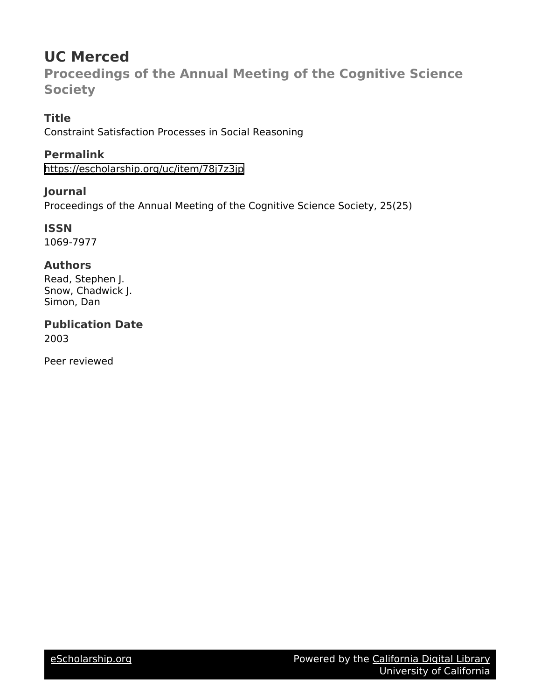# **UC Merced**

**Proceedings of the Annual Meeting of the Cognitive Science Society**

# **Title**

Constraint Satisfaction Processes in Social Reasoning

# **Permalink**

<https://escholarship.org/uc/item/78j7z3jp>

# **Journal**

Proceedings of the Annual Meeting of the Cognitive Science Society, 25(25)

### **ISSN** 1069-7977

# **Authors**

Read, Stephen J. Snow, Chadwick J. Simon, Dan

## **Publication Date** 2003

Peer reviewed

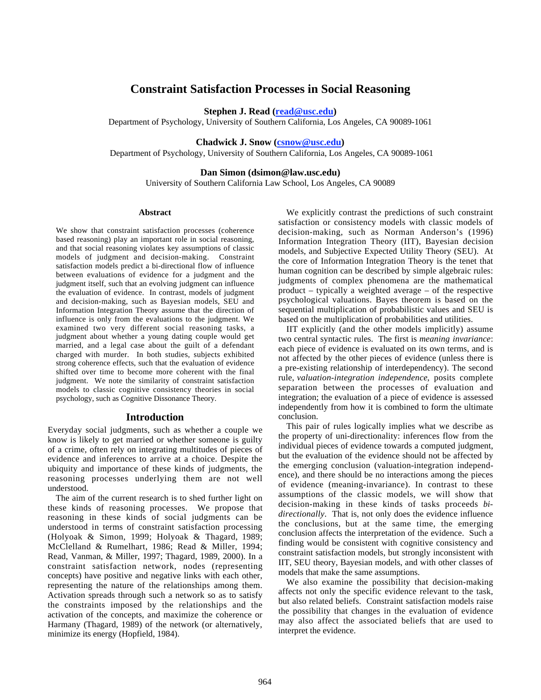### **Constraint Satisfaction Processes in Social Reasoning**

**Stephen J. Read (read@usc.edu)**

Department of Psychology, University of Southern California, Los Angeles, CA 90089-1061

### **Chadwick J. Snow (csnow@usc.edu)**

Department of Psychology, University of Southern California, Los Angeles, CA 90089-1061

#### **Dan Simon (dsimon@law.usc.edu)**

University of Southern California Law School, Los Angeles, CA 90089

#### **Abstract**

We show that constraint satisfaction processes (coherence based reasoning) play an important role in social reasoning, and that social reasoning violates key assumptions of classic models of judgment and decision-making. Constraint satisfaction models predict a bi-directional flow of influence between evaluations of evidence for a judgment and the judgment itself, such that an evolving judgment can influence the evaluation of evidence. In contrast, models of judgment and decision-making, such as Bayesian models, SEU and Information Integration Theory assume that the direction of influence is only from the evaluations to the judgment. We examined two very different social reasoning tasks, a judgment about whether a young dating couple would get married, and a legal case about the guilt of a defendant charged with murder. In both studies, subjects exhibited strong coherence effects, such that the evaluation of evidence shifted over time to become more coherent with the final judgment. We note the similarity of constraint satisfaction models to classic cognitive consistency theories in social psychology, such as Cognitive Dissonance Theory.

#### **Introduction**

Everyday social judgments, such as whether a couple we know is likely to get married or whether someone is guilty of a crime, often rely on integrating multitudes of pieces of evidence and inferences to arrive at a choice. Despite the ubiquity and importance of these kinds of judgments, the reasoning processes underlying them are not well understood.

The aim of the current research is to shed further light on these kinds of reasoning processes. We propose that reasoning in these kinds of social judgments can be understood in terms of constraint satisfaction processing (Holyoak & Simon, 1999; Holyoak & Thagard, 1989; McClelland & Rumelhart, 1986; Read & Miller, 1994; Read, Vanman, & Miller, 1997; Thagard, 1989, 2000). In a constraint satisfaction network, nodes (representing concepts) have positive and negative links with each other, representing the nature of the relationships among them. Activation spreads through such a network so as to satisfy the constraints imposed by the relationships and the activation of the concepts, and maximize the coherence or Harmany (Thagard, 1989) of the network (or alternatively, minimize its energy (Hopfield, 1984).

We explicitly contrast the predictions of such constraint satisfaction or consistency models with classic models of decision-making, such as Norman Anderson's (1996) Information Integration Theory (IIT), Bayesian decision models, and Subjective Expected Utility Theory (SEU). At the core of Information Integration Theory is the tenet that human cognition can be described by simple algebraic rules: judgments of complex phenomena are the mathematical product – typically a weighted average – of the respective psychological valuations. Bayes theorem is based on the sequential multiplication of probabilistic values and SEU is based on the multiplication of probabilities and utilities.

IIT explicitly (and the other models implicitly) assume two central syntactic rules. The first is *meaning invariance*: each piece of evidence is evaluated on its own terms, and is not affected by the other pieces of evidence (unless there is a pre-existing relationship of interdependency). The second rule, *valuation-integration independence*, posits complete separation between the processes of evaluation and integration; the evaluation of a piece of evidence is assessed independently from how it is combined to form the ultimate conclusion.

This pair of rules logically implies what we describe as the property of uni-directionality: inferences flow from the individual pieces of evidence towards a computed judgment, but the evaluation of the evidence should not be affected by the emerging conclusion (valuation-integration independence), and there should be no interactions among the pieces of evidence (meaning-invariance). In contrast to these assumptions of the classic models, we will show that decision-making in these kinds of tasks proceeds *bidirectionally*. That is, not only does the evidence influence the conclusions, but at the same time, the emerging conclusion affects the interpretation of the evidence. Such a finding would be consistent with cognitive consistency and constraint satisfaction models, but strongly inconsistent with IIT, SEU theory, Bayesian models, and with other classes of models that make the same assumptions.

We also examine the possibility that decision-making affects not only the specific evidence relevant to the task, but also related beliefs. Constraint satisfaction models raise the possibility that changes in the evaluation of evidence may also affect the associated beliefs that are used to interpret the evidence.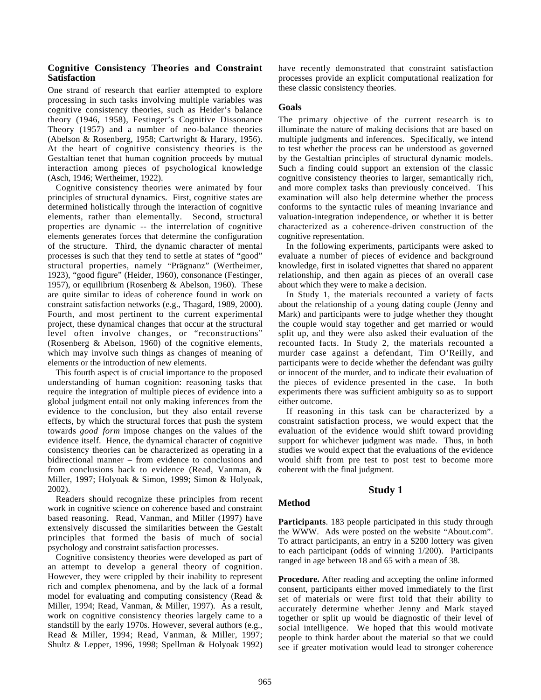#### **Cognitive Consistency Theories and Constraint Satisfaction**

One strand of research that earlier attempted to explore processing in such tasks involving multiple variables was cognitive consistency theories, such as Heider's balance theory (1946, 1958), Festinger's Cognitive Dissonance Theory (1957) and a number of neo-balance theories (Abelson & Rosenberg, 1958; Cartwright & Harary, 1956). At the heart of cognitive consistency theories is the Gestaltian tenet that human cognition proceeds by mutual interaction among pieces of psychological knowledge (Asch, 1946; Wertheimer, 1922).

Cognitive consistency theories were animated by four principles of structural dynamics. First, cognitive states are determined holistically through the interaction of cognitive elements, rather than elementally. Second, structural properties are dynamic -- the interrelation of cognitive elements generates forces that determine the configuration of the structure. Third, the dynamic character of mental processes is such that they tend to settle at states of "good" structural properties, namely "Prägnanz" (Wertheimer, 1923), "good figure" (Heider, 1960), consonance (Festinger, 1957), or equilibrium (Rosenberg & Abelson, 1960). These are quite similar to ideas of coherence found in work on constraint satisfaction networks (e.g., Thagard, 1989, 2000). Fourth, and most pertinent to the current experimental project, these dynamical changes that occur at the structural level often involve changes, or "reconstructions" (Rosenberg & Abelson, 1960) of the cognitive elements, which may involve such things as changes of meaning of elements or the introduction of new elements.

This fourth aspect is of crucial importance to the proposed understanding of human cognition: reasoning tasks that require the integration of multiple pieces of evidence into a global judgment entail not only making inferences from the evidence to the conclusion, but they also entail reverse effects, by which the structural forces that push the system towards *good form* impose changes on the values of the evidence itself. Hence, the dynamical character of cognitive consistency theories can be characterized as operating in a bidirectional manner – from evidence to conclusions and from conclusions back to evidence (Read, Vanman, & Miller, 1997; Holyoak & Simon, 1999; Simon & Holyoak, 2002).

Readers should recognize these principles from recent work in cognitive science on coherence based and constraint based reasoning. Read, Vanman, and Miller (1997) have extensively discussed the similarities between the Gestalt principles that formed the basis of much of social psychology and constraint satisfaction processes.

Cognitive consistency theories were developed as part of an attempt to develop a general theory of cognition. However, they were crippled by their inability to represent rich and complex phenomena, and by the lack of a formal model for evaluating and computing consistency (Read & Miller, 1994; Read, Vanman, & Miller, 1997). As a result, work on cognitive consistency theories largely came to a standstill by the early 1970s. However, several authors (e.g., Read & Miller, 1994; Read, Vanman, & Miller, 1997; Shultz & Lepper, 1996, 1998; Spellman & Holyoak 1992)

have recently demonstrated that constraint satisfaction processes provide an explicit computational realization for these classic consistency theories.

#### **Goals**

The primary objective of the current research is to illuminate the nature of making decisions that are based on multiple judgments and inferences. Specifically, we intend to test whether the process can be understood as governed by the Gestaltian principles of structural dynamic models. Such a finding could support an extension of the classic cognitive consistency theories to larger, semantically rich, and more complex tasks than previously conceived. This examination will also help determine whether the process conforms to the syntactic rules of meaning invariance and valuation-integration independence, or whether it is better characterized as a coherence-driven construction of the cognitive representation.

In the following experiments, participants were asked to evaluate a number of pieces of evidence and background knowledge, first in isolated vignettes that shared no apparent relationship, and then again as pieces of an overall case about which they were to make a decision.

In Study 1, the materials recounted a variety of facts about the relationship of a young dating couple (Jenny and Mark) and participants were to judge whether they thought the couple would stay together and get married or would split up, and they were also asked their evaluation of the recounted facts. In Study 2, the materials recounted a murder case against a defendant, Tim O'Reilly, and participants were to decide whether the defendant was guilty or innocent of the murder, and to indicate their evaluation of the pieces of evidence presented in the case. In both experiments there was sufficient ambiguity so as to support either outcome.

If reasoning in this task can be characterized by a constraint satisfaction process, we would expect that the evaluation of the evidence would shift toward providing support for whichever judgment was made. Thus, in both studies we would expect that the evaluations of the evidence would shift from pre test to post test to become more coherent with the final judgment.

### **Study 1**

#### **Method**

**Participants**. 183 people participated in this study through the WWW. Ads were posted on the website "About.com". To attract participants, an entry in a \$200 lottery was given to each participant (odds of winning 1/200). Participants ranged in age between 18 and 65 with a mean of 38.

**Procedure.** After reading and accepting the online informed consent, participants either moved immediately to the first set of materials or were first told that their ability to accurately determine whether Jenny and Mark stayed together or split up would be diagnostic of their level of social intelligence. We hoped that this would motivate people to think harder about the material so that we could see if greater motivation would lead to stronger coherence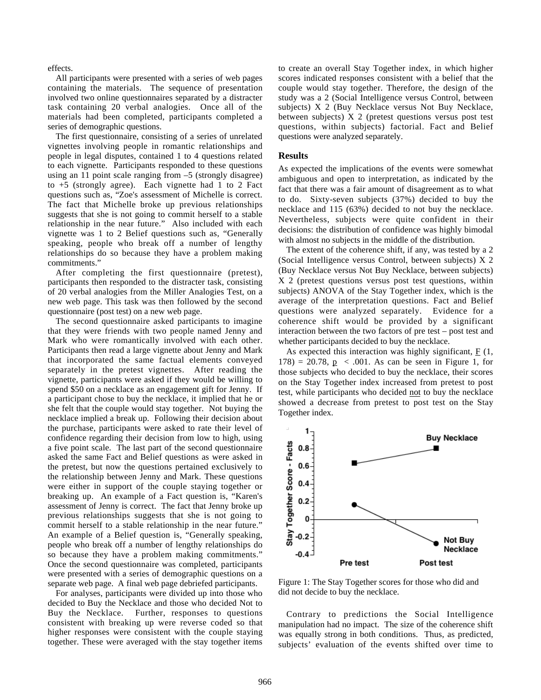effects.

All participants were presented with a series of web pages containing the materials. The sequence of presentation involved two online questionnaires separated by a distracter task containing 20 verbal analogies. Once all of the materials had been completed, participants completed a series of demographic questions.

The first questionnaire, consisting of a series of unrelated vignettes involving people in romantic relationships and people in legal disputes, contained 1 to 4 questions related to each vignette. Participants responded to these questions using an 11 point scale ranging from –5 (strongly disagree) to +5 (strongly agree). Each vignette had 1 to 2 Fact questions such as, "Zoe's assessment of Michelle is correct. The fact that Michelle broke up previous relationships suggests that she is not going to commit herself to a stable relationship in the near future." Also included with each vignette was 1 to 2 Belief questions such as, "Generally speaking, people who break off a number of lengthy relationships do so because they have a problem making commitments."

After completing the first questionnaire (pretest), participants then responded to the distracter task, consisting of 20 verbal analogies from the Miller Analogies Test, on a new web page. This task was then followed by the second questionnaire (post test) on a new web page.

The second questionnaire asked participants to imagine that they were friends with two people named Jenny and Mark who were romantically involved with each other. Participants then read a large vignette about Jenny and Mark that incorporated the same factual elements conveyed separately in the pretest vignettes. After reading the vignette, participants were asked if they would be willing to spend \$50 on a necklace as an engagement gift for Jenny. If a participant chose to buy the necklace, it implied that he or she felt that the couple would stay together. Not buying the necklace implied a break up. Following their decision about the purchase, participants were asked to rate their level of confidence regarding their decision from low to high, using a five point scale. The last part of the second questionnaire asked the same Fact and Belief questions as were asked in the pretest, but now the questions pertained exclusively to the relationship between Jenny and Mark. These questions were either in support of the couple staying together or breaking up. An example of a Fact question is, "Karen's assessment of Jenny is correct. The fact that Jenny broke up previous relationships suggests that she is not going to commit herself to a stable relationship in the near future." An example of a Belief question is, "Generally speaking, people who break off a number of lengthy relationships do so because they have a problem making commitments." Once the second questionnaire was completed, participants were presented with a series of demographic questions on a separate web page. A final web page debriefed participants.

For analyses, participants were divided up into those who decided to Buy the Necklace and those who decided Not to Buy the Necklace. Further, responses to questions consistent with breaking up were reverse coded so that higher responses were consistent with the couple staying together. These were averaged with the stay together items

to create an overall Stay Together index, in which higher scores indicated responses consistent with a belief that the couple would stay together. Therefore, the design of the study was a 2 (Social Intelligence versus Control, between subjects) X 2 (Buy Necklace versus Not Buy Necklace, between subjects) X 2 (pretest questions versus post test questions, within subjects) factorial. Fact and Belief questions were analyzed separately.

#### **Results**

As expected the implications of the events were somewhat ambiguous and open to interpretation, as indicated by the fact that there was a fair amount of disagreement as to what to do. Sixty-seven subjects (37%) decided to buy the necklace and 115 (63%) decided to not buy the necklace. Nevertheless, subjects were quite confident in their decisions: the distribution of confidence was highly bimodal with almost no subjects in the middle of the distribution.

The extent of the coherence shift, if any, was tested by a 2 (Social Intelligence versus Control, between subjects) X 2 (Buy Necklace versus Not Buy Necklace, between subjects) X 2 (pretest questions versus post test questions, within subjects) ANOVA of the Stay Together index, which is the average of the interpretation questions. Fact and Belief questions were analyzed separately. Evidence for a coherence shift would be provided by a significant interaction between the two factors of pre test – post test and whether participants decided to buy the necklace.

As expected this interaction was highly significant, F (1,  $178$ ) = 20.78,  $p \le 0.001$ . As can be seen in Figure 1, for those subjects who decided to buy the necklace, their scores on the Stay Together index increased from pretest to post test, while participants who decided not to buy the necklace showed a decrease from pretest to post test on the Stay Together index.



Figure 1: The Stay Together scores for those who did and did not decide to buy the necklace.

Contrary to predictions the Social Intelligence manipulation had no impact. The size of the coherence shift was equally strong in both conditions. Thus, as predicted, subjects' evaluation of the events shifted over time to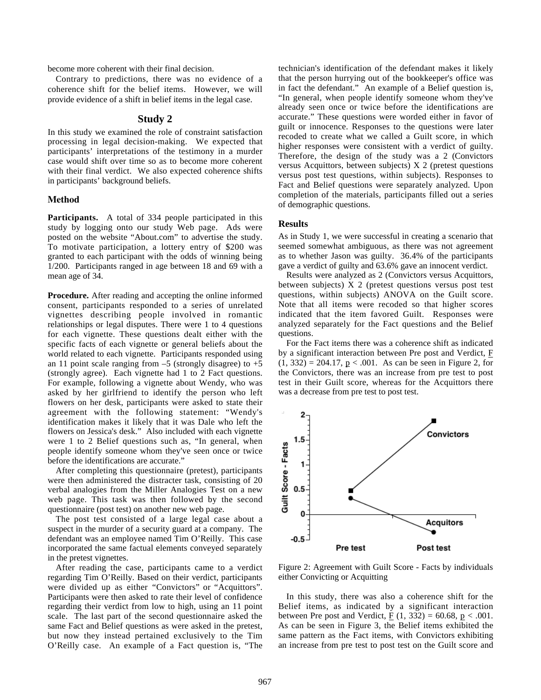become more coherent with their final decision.

Contrary to predictions, there was no evidence of a coherence shift for the belief items. However, we will provide evidence of a shift in belief items in the legal case.

#### **Study 2**

In this study we examined the role of constraint satisfaction processing in legal decision-making. We expected that participants' interpretations of the testimony in a murder case would shift over time so as to become more coherent with their final verdict. We also expected coherence shifts in participants' background beliefs.

#### **Method**

**Participants.** A total of 334 people participated in this study by logging onto our study Web page. Ads were posted on the website "About.com" to advertise the study. To motivate participation, a lottery entry of \$200 was granted to each participant with the odds of winning being 1/200. Participants ranged in age between 18 and 69 with a mean age of 34.

**Procedure.** After reading and accepting the online informed consent, participants responded to a series of unrelated vignettes describing people involved in romantic relationships or legal disputes. There were 1 to 4 questions for each vignette. These questions dealt either with the specific facts of each vignette or general beliefs about the world related to each vignette. Participants responded using an 11 point scale ranging from  $-5$  (strongly disagree) to  $+5$ (strongly agree). Each vignette had 1 to 2 Fact questions. For example, following a vignette about Wendy, who was asked by her girlfriend to identify the person who left flowers on her desk, participants were asked to state their agreement with the following statement: "Wendy's identification makes it likely that it was Dale who left the flowers on Jessica's desk." Also included with each vignette were 1 to 2 Belief questions such as, "In general, when people identify someone whom they've seen once or twice before the identifications are accurate."

After completing this questionnaire (pretest), participants were then administered the distracter task, consisting of 20 verbal analogies from the Miller Analogies Test on a new web page. This task was then followed by the second questionnaire (post test) on another new web page.

The post test consisted of a large legal case about a suspect in the murder of a security guard at a company. The defendant was an employee named Tim O'Reilly. This case incorporated the same factual elements conveyed separately in the pretest vignettes.

After reading the case, participants came to a verdict regarding Tim O'Reilly. Based on their verdict, participants were divided up as either "Convictors" or "Acquittors". Participants were then asked to rate their level of confidence regarding their verdict from low to high, using an 11 point scale. The last part of the second questionnaire asked the same Fact and Belief questions as were asked in the pretest, but now they instead pertained exclusively to the Tim O'Reilly case. An example of a Fact question is, "The

technician's identification of the defendant makes it likely that the person hurrying out of the bookkeeper's office was in fact the defendant." An example of a Belief question is, "In general, when people identify someone whom they've already seen once or twice before the identifications are accurate." These questions were worded either in favor of guilt or innocence. Responses to the questions were later recoded to create what we called a Guilt score, in which higher responses were consistent with a verdict of guilty. Therefore, the design of the study was a 2 (Convictors versus Acquittors, between subjects) X 2 (pretest questions versus post test questions, within subjects). Responses to Fact and Belief questions were separately analyzed. Upon completion of the materials, participants filled out a series of demographic questions.

#### **Results**

As in Study 1, we were successful in creating a scenario that seemed somewhat ambiguous, as there was not agreement as to whether Jason was guilty. 36.4% of the participants gave a verdict of guilty and 63.6% gave an innocent verdict.

Results were analyzed as 2 (Convictors versus Acquittors, between subjects) X 2 (pretest questions versus post test questions, within subjects) ANOVA on the Guilt score. Note that all items were recoded so that higher scores indicated that the item favored Guilt. Responses were analyzed separately for the Fact questions and the Belief questions.

For the Fact items there was a coherence shift as indicated by a significant interaction between Pre post and Verdict,  $E$  $(1, 332) = 204.17$ ,  $p < .001$ . As can be seen in Figure 2, for the Convictors, there was an increase from pre test to post test in their Guilt score, whereas for the Acquittors there was a decrease from pre test to post test.



Figure 2: Agreement with Guilt Score - Facts by individuals either Convicting or Acquitting

In this study, there was also a coherence shift for the Belief items, as indicated by a significant interaction between Pre post and Verdict,  $\underline{F}(1, 332) = 60.68$ ,  $\underline{p} < .001$ . As can be seen in Figure 3, the Belief items exhibited the same pattern as the Fact items, with Convictors exhibiting an increase from pre test to post test on the Guilt score and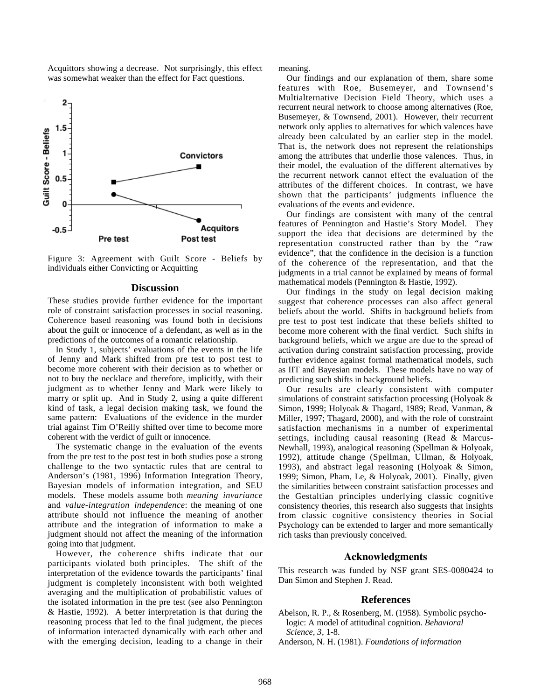Acquittors showing a decrease. Not surprisingly, this effect was somewhat weaker than the effect for Fact questions.



Figure 3: Agreement with Guilt Score - Beliefs by individuals either Convicting or Acquitting

#### **Discussion**

These studies provide further evidence for the important role of constraint satisfaction processes in social reasoning. Coherence based reasoning was found both in decisions about the guilt or innocence of a defendant, as well as in the predictions of the outcomes of a romantic relationship.

In Study 1, subjects' evaluations of the events in the life of Jenny and Mark shifted from pre test to post test to become more coherent with their decision as to whether or not to buy the necklace and therefore, implicitly, with their judgment as to whether Jenny and Mark were likely to marry or split up. And in Study 2, using a quite different kind of task, a legal decision making task, we found the same pattern: Evaluations of the evidence in the murder trial against Tim O'Reilly shifted over time to become more coherent with the verdict of guilt or innocence.

The systematic change in the evaluation of the events from the pre test to the post test in both studies pose a strong challenge to the two syntactic rules that are central to Anderson's (1981, 1996) Information Integration Theory, Bayesian models of information integration, and SEU models. These models assume both *meaning invariance* and *value-integration independence*: the meaning of one attribute should not influence the meaning of another attribute and the integration of information to make a judgment should not affect the meaning of the information going into that judgment.

However, the coherence shifts indicate that our participants violated both principles. The shift of the interpretation of the evidence towards the participants' final judgment is completely inconsistent with both weighted averaging and the multiplication of probabilistic values of the isolated information in the pre test (see also Pennington & Hastie, 1992). A better interpretation is that during the reasoning process that led to the final judgment, the pieces of information interacted dynamically with each other and with the emerging decision, leading to a change in their

meaning.

Our findings and our explanation of them, share some features with Roe, Busemeyer, and Townsend's Multialternative Decision Field Theory, which uses a recurrent neural network to choose among alternatives (Roe, Busemeyer, & Townsend, 2001). However, their recurrent network only applies to alternatives for which valences have already been calculated by an earlier step in the model. That is, the network does not represent the relationships among the attributes that underlie those valences. Thus, in their model, the evaluation of the different alternatives by the recurrent network cannot effect the evaluation of the attributes of the different choices. In contrast, we have shown that the participants' judgments influence the evaluations of the events and evidence.

Our findings are consistent with many of the central features of Pennington and Hastie's Story Model. They support the idea that decisions are determined by the representation constructed rather than by the "raw evidence", that the confidence in the decision is a function of the coherence of the representation, and that the judgments in a trial cannot be explained by means of formal mathematical models (Pennington & Hastie, 1992).

Our findings in the study on legal decision making suggest that coherence processes can also affect general beliefs about the world. Shifts in background beliefs from pre test to post test indicate that these beliefs shifted to become more coherent with the final verdict. Such shifts in background beliefs, which we argue are due to the spread of activation during constraint satisfaction processing, provide further evidence against formal mathematical models, such as IIT and Bayesian models. These models have no way of predicting such shifts in background beliefs.

Our results are clearly consistent with computer simulations of constraint satisfaction processing (Holyoak & Simon, 1999; Holyoak & Thagard, 1989; Read, Vanman, & Miller, 1997; Thagard, 2000), and with the role of constraint satisfaction mechanisms in a number of experimental settings, including causal reasoning (Read & Marcus-Newhall, 1993), analogical reasoning (Spellman & Holyoak, 1992), attitude change (Spellman, Ullman, & Holyoak, 1993), and abstract legal reasoning (Holyoak & Simon, 1999; Simon, Pham, Le, & Holyoak, 2001). Finally, given the similarities between constraint satisfaction processes and the Gestaltian principles underlying classic cognitive consistency theories, this research also suggests that insights from classic cognitive consistency theories in Social Psychology can be extended to larger and more semantically rich tasks than previously conceived.

#### **Acknowledgments**

This research was funded by NSF grant SES-0080424 to Dan Simon and Stephen J. Read.

#### **References**

Abelson, R. P., & Rosenberg, M. (1958). Symbolic psychologic: A model of attitudinal cognition. *Behavioral Science*, *3*, 1-8.

Anderson, N. H. (1981). *Foundations of information*